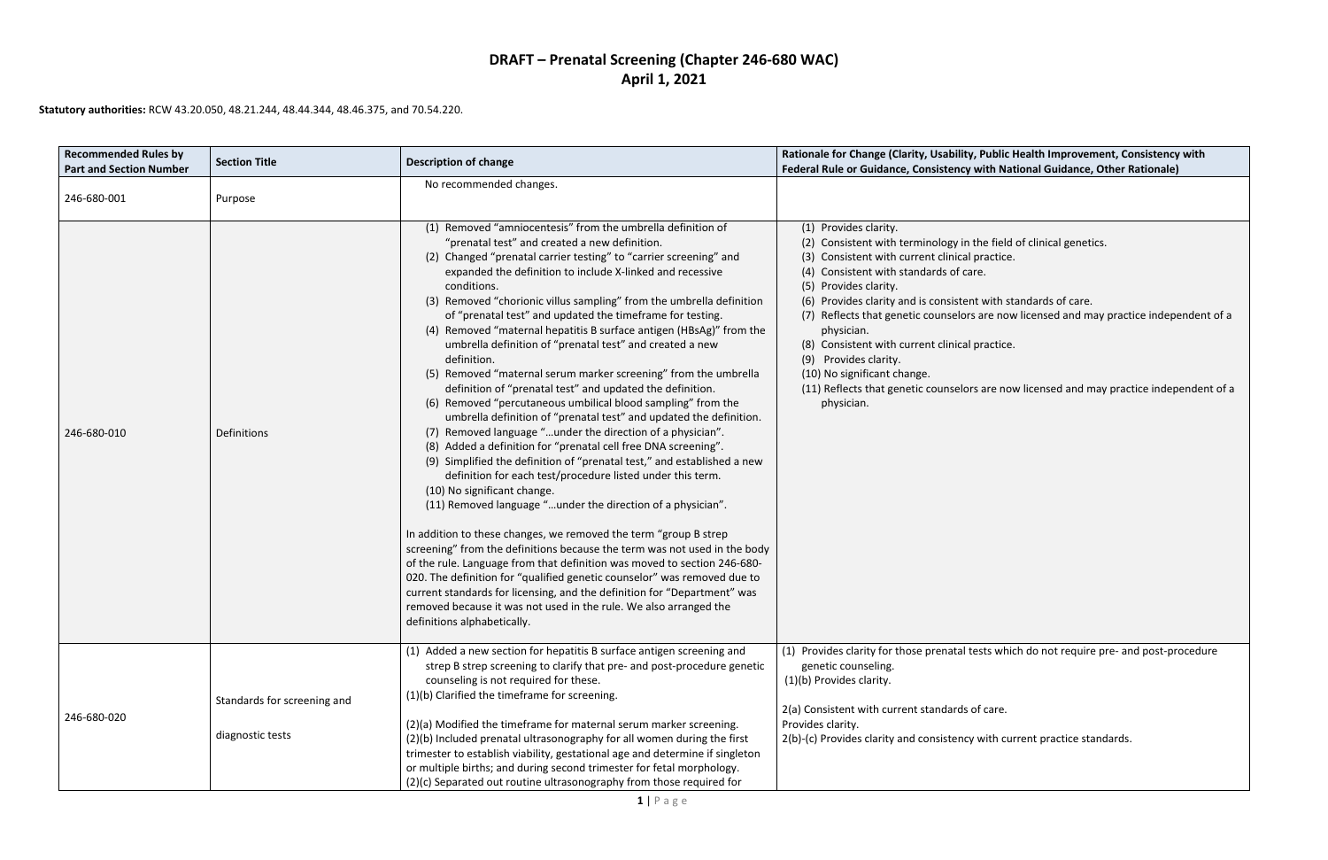## **DRAFT – Prenatal Screening (Chapter 246-680 WAC) April 1, 2021**

it with standards of care. are now licensed and may practice independent of a

s are now licensed and may practice independent of a

ests which do not require pre- and post-procedure

### **Statutory authorities:** RCW 43.20.050, 48.21.244, 48.44.344, 48.46.375, and 70.54.220.

| <b>Recommended Rules by</b><br><b>Part and Section Number</b> | <b>Section Title</b>                            | <b>Description of change</b>                                                                                                                                                                                                                                                                                                                                                                                                                                                                                                                                                                                                                                                                                                                                                                                                                                                                                                                                                                                                                                                                                                                                                                                                                                                                                                                                                                                                                                                                                                                                                                                                                                                               | Rationale for Change (Clarity, Usability, Public Health Improvement, Consistency with<br>Federal Rule or Guidance, Consistency with National Guidance, Other Rationale)                                                                                                                                                                                                                                                                                                                                                                                                                             |
|---------------------------------------------------------------|-------------------------------------------------|--------------------------------------------------------------------------------------------------------------------------------------------------------------------------------------------------------------------------------------------------------------------------------------------------------------------------------------------------------------------------------------------------------------------------------------------------------------------------------------------------------------------------------------------------------------------------------------------------------------------------------------------------------------------------------------------------------------------------------------------------------------------------------------------------------------------------------------------------------------------------------------------------------------------------------------------------------------------------------------------------------------------------------------------------------------------------------------------------------------------------------------------------------------------------------------------------------------------------------------------------------------------------------------------------------------------------------------------------------------------------------------------------------------------------------------------------------------------------------------------------------------------------------------------------------------------------------------------------------------------------------------------------------------------------------------------|-----------------------------------------------------------------------------------------------------------------------------------------------------------------------------------------------------------------------------------------------------------------------------------------------------------------------------------------------------------------------------------------------------------------------------------------------------------------------------------------------------------------------------------------------------------------------------------------------------|
| 246-680-001                                                   | Purpose                                         | No recommended changes.                                                                                                                                                                                                                                                                                                                                                                                                                                                                                                                                                                                                                                                                                                                                                                                                                                                                                                                                                                                                                                                                                                                                                                                                                                                                                                                                                                                                                                                                                                                                                                                                                                                                    |                                                                                                                                                                                                                                                                                                                                                                                                                                                                                                                                                                                                     |
| 246-680-010                                                   | Definitions                                     | (1) Removed "amniocentesis" from the umbrella definition of<br>"prenatal test" and created a new definition.<br>(2) Changed "prenatal carrier testing" to "carrier screening" and<br>expanded the definition to include X-linked and recessive<br>conditions.<br>(3) Removed "chorionic villus sampling" from the umbrella definition<br>of "prenatal test" and updated the timeframe for testing.<br>(4) Removed "maternal hepatitis B surface antigen (HBsAg)" from the<br>umbrella definition of "prenatal test" and created a new<br>definition.<br>(5) Removed "maternal serum marker screening" from the umbrella<br>definition of "prenatal test" and updated the definition.<br>(6) Removed "percutaneous umbilical blood sampling" from the<br>umbrella definition of "prenatal test" and updated the definition.<br>(7) Removed language "under the direction of a physician".<br>(8) Added a definition for "prenatal cell free DNA screening".<br>(9) Simplified the definition of "prenatal test," and established a new<br>definition for each test/procedure listed under this term.<br>(10) No significant change.<br>(11) Removed language "under the direction of a physician".<br>In addition to these changes, we removed the term "group B strep<br>screening" from the definitions because the term was not used in the body<br>of the rule. Language from that definition was moved to section 246-680-<br>020. The definition for "qualified genetic counselor" was removed due to<br>current standards for licensing, and the definition for "Department" was<br>removed because it was not used in the rule. We also arranged the<br>definitions alphabetically. | (1) Provides clarity.<br>(2) Consistent with terminology in the field of clinical genetics.<br>(3) Consistent with current clinical practice.<br>(4) Consistent with standards of care.<br>(5) Provides clarity.<br>(6) Provides clarity and is consistent with standards of care.<br>(7) Reflects that genetic counselors are now licensed and may practice independen<br>physician.<br>(8) Consistent with current clinical practice.<br>(9) Provides clarity.<br>(10) No significant change.<br>(11) Reflects that genetic counselors are now licensed and may practice independer<br>physician. |
| 246-680-020                                                   | Standards for screening and<br>diagnostic tests | (1) Added a new section for hepatitis B surface antigen screening and<br>strep B strep screening to clarify that pre- and post-procedure genetic<br>counseling is not required for these.<br>(1)(b) Clarified the timeframe for screening.<br>(2)(a) Modified the timeframe for maternal serum marker screening.<br>(2)(b) Included prenatal ultrasonography for all women during the first<br>trimester to establish viability, gestational age and determine if singleton<br>or multiple births; and during second trimester for fetal morphology.<br>(2)(c) Separated out routine ultrasonography from those required for                                                                                                                                                                                                                                                                                                                                                                                                                                                                                                                                                                                                                                                                                                                                                                                                                                                                                                                                                                                                                                                               | (1) Provides clarity for those prenatal tests which do not require pre- and post-procedu<br>genetic counseling.<br>(1)(b) Provides clarity.<br>2(a) Consistent with current standards of care.<br>Provides clarity.<br>2(b)-(c) Provides clarity and consistency with current practice standards.                                                                                                                                                                                                                                                                                                   |